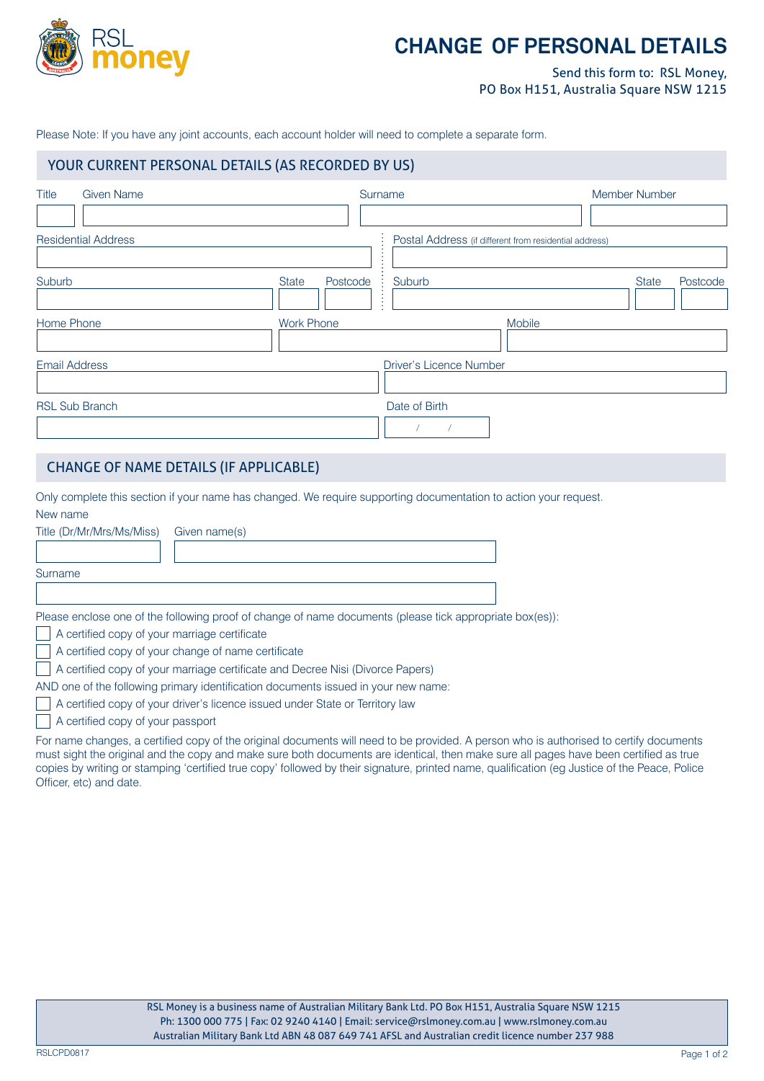

# **CHANGE OF PERSONAL DETAILS**

Send this form to: RSL Money, PO Box H151, Australia Square NSW 1215

Please Note: If you have any joint accounts, each account holder will need to complete a separate form.

#### **YOUR CURRENT PERSONAL DETAILS (AS RECORDED BY US)** YOUR CURRENT PERSONAL DETAILS (AS RECORDED BY US)

| <b>Title</b><br><b>Given Name</b> | Surname                            | Member Number                                          |
|-----------------------------------|------------------------------------|--------------------------------------------------------|
| <b>Residential Address</b>        |                                    | Postal Address (if different from residential address) |
| Suburb                            | <b>State</b><br>Suburb<br>Postcode | <b>State</b><br>Postcode                               |
| Home Phone                        | <b>Work Phone</b>                  | Mobile                                                 |
| <b>Email Address</b>              |                                    | <b>Driver's Licence Number</b>                         |
| <b>RSL Sub Branch</b>             | Date of Birth                      |                                                        |

#### CHANGE OF NAME DETAILS (IF APPLICABLE)

Only complete this section if your name has changed. We require supporting documentation to action your request. New name

| Title (Dr/Mr/Mrs/Ms/Miss)                     | Given name(s)                                                                                            |  |  |
|-----------------------------------------------|----------------------------------------------------------------------------------------------------------|--|--|
|                                               |                                                                                                          |  |  |
| Surname                                       |                                                                                                          |  |  |
|                                               |                                                                                                          |  |  |
|                                               | Please enclose one of the following proof of change of name documents (please tick appropriate box(es)): |  |  |
| A certified copy of your marriage certificate |                                                                                                          |  |  |

A certified copy of your change of name certificate

A certified copy of your marriage certificate and Decree Nisi (Divorce Papers)

AND one of the following primary identification documents issued in your new name:

- A certified copy of your driver's licence issued under State or Territory law
- A certified copy of your passport

For name changes, a certified copy of the original documents will need to be provided. A person who is authorised to certify documents must sight the original and the copy and make sure both documents are identical, then make sure all pages have been certified as true copies by writing or stamping 'certified true copy' followed by their signature, printed name, qualification (eg Justice of the Peace, Police Officer, etc) and date.

RSLCPD0817